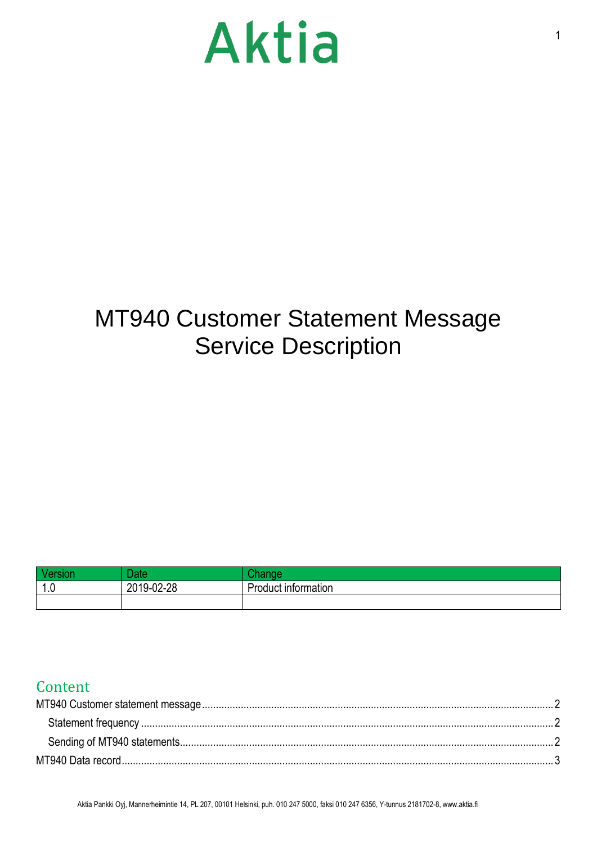# Aktia

### MT940 Customer Statement Message Service Description

|          | <b>Total</b><br>πс |                                  |
|----------|--------------------|----------------------------------|
| ∽<br>1.V | 2019-02-28         | $\cdot$ .<br>Product information |
|          |                    |                                  |

### Content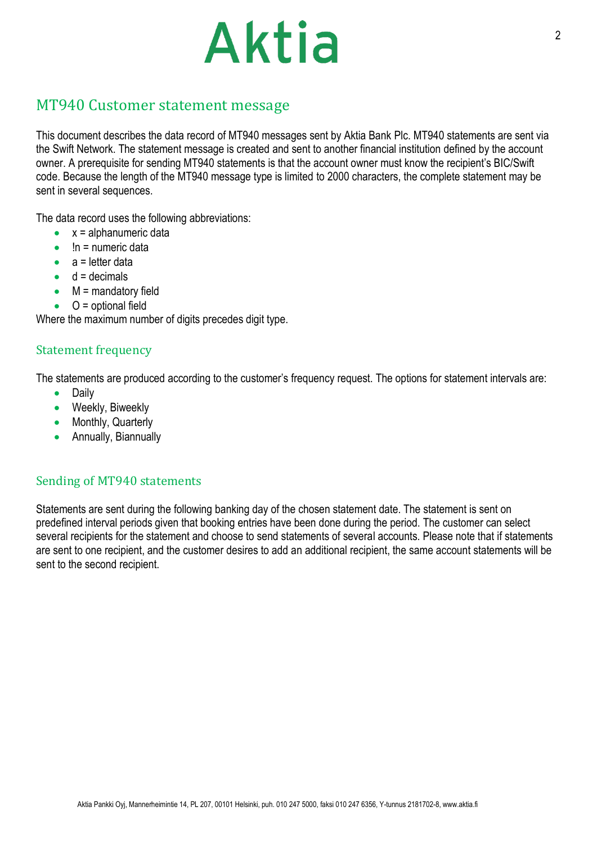# Aktia

#### <span id="page-1-0"></span>MT940 Customer statement message

This document describes the data record of MT940 messages sent by Aktia Bank Plc. MT940 statements are sent via the Swift Network. The statement message is created and sent to another financial institution defined by the account owner. A prerequisite for sending MT940 statements is that the account owner must know the recipient's BIC/Swift code. Because the length of the MT940 message type is limited to 2000 characters, the complete statement may be sent in several sequences.

The data record uses the following abbreviations:

- $\bullet$   $x =$  alphanumeric data
- !n = numeric data
- $a =$  letter data
- $\bullet$  d = decimals
- $\bullet$  M = mandatory field
- $\bullet$  O = optional field

Where the maximum number of digits precedes digit type.

#### <span id="page-1-1"></span>Statement frequency

The statements are produced according to the customer's frequency request. The options for statement intervals are:

- Daily
- Weekly, Biweekly
- Monthly, Quarterly
- Annually, Biannually

#### <span id="page-1-2"></span>Sending of MT940 statements

Statements are sent during the following banking day of the chosen statement date. The statement is sent on predefined interval periods given that booking entries have been done during the period. The customer can select several recipients for the statement and choose to send statements of several accounts. Please note that if statements are sent to one recipient, and the customer desires to add an additional recipient, the same account statements will be sent to the second recipient.